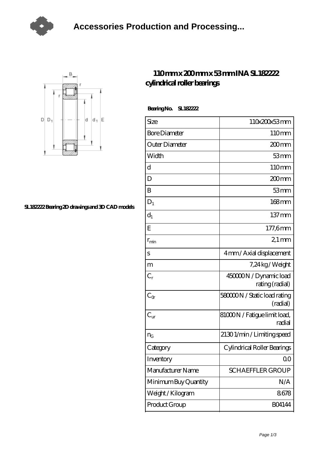



## **[SL182222 Bearing 2D drawings and 3D CAD models](https://m.tvqso.com/pic-166259.html)**

## **[110 mm x 200 mm x 53 mm INA SL182222](https://m.tvqso.com/bs-166259-ina-sl182222-cylindrical-roller-bearings.html) [cylindrical roller bearings](https://m.tvqso.com/bs-166259-ina-sl182222-cylindrical-roller-bearings.html)**

 **Bearing No. SL182222**

| Size                 | 110x200x53mm                              |
|----------------------|-------------------------------------------|
| <b>Bore Diameter</b> | 110mm                                     |
| Outer Diameter       | $200$ mm                                  |
| Width                | 53mm                                      |
| d                    | 110mm                                     |
| D                    | 200mm                                     |
| B                    | 53mm                                      |
| $D_1$                | $168$ mm                                  |
| $\mathrm{d}_{1}$     | $137 \,\mathrm{mm}$                       |
| E                    | 177,6mm                                   |
| $r_{\rm min}$        | $21$ mm                                   |
| S                    | 4mm / Axial displacement                  |
| m                    | 7,24 kg / Weight                          |
| $C_r$                | 450000N / Dynamic load<br>rating (radial) |
| $C_{\alpha}$         | 58000N / Static load rating<br>(radial)   |
| $C_{\text{ur}}$      | 81000N / Fatigue limit load,<br>radial    |
| $n_G$                | 21301/min/Limitingspeed                   |
| Category             | Cylindrical Roller Bearings               |
| Inventory            | 0 <sup>0</sup>                            |
| Manufacturer Name    | <b>SCHAEFFLER GROUP</b>                   |
| Minimum Buy Quantity | N/A                                       |
| Weight/Kilogram      | 8678                                      |
| Product Group        | <b>BO4144</b>                             |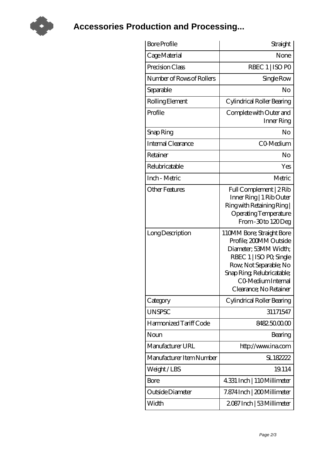

**[Accessories Production and Processing...](https://m.tvqso.com)**

| <b>Bore Profile</b>       | Straight                                                                                                                                                                                                       |
|---------------------------|----------------------------------------------------------------------------------------------------------------------------------------------------------------------------------------------------------------|
| Cage Material             | None                                                                                                                                                                                                           |
| Precision Class           | RBEC 1   ISO PO                                                                                                                                                                                                |
| Number of Rows of Rollers | Single Row                                                                                                                                                                                                     |
| Separable                 | No                                                                                                                                                                                                             |
| Rolling Element           | Cylindrical Roller Bearing                                                                                                                                                                                     |
| Profile                   | Complete with Outer and<br>Inner Ring                                                                                                                                                                          |
| Snap Ring                 | No                                                                                                                                                                                                             |
| Internal Clearance        | CO-Medium                                                                                                                                                                                                      |
| Retainer                  | No                                                                                                                                                                                                             |
| Relubricatable            | Yes                                                                                                                                                                                                            |
| Inch - Metric             | Metric                                                                                                                                                                                                         |
| Other Features            | Full Complement   2 Rib<br>Inner Ring   1 Rib Outer<br>Ring with Retaining Ring  <br><b>Operating Temperature</b><br>From-30to 120Deg                                                                          |
| Long Description          | 110MM Bore; Straight Bore<br>Profile; 200MM Outside<br>Diameter; 53MM Width;<br>RBEC 1   ISO PO, Single<br>Row, Not Separable; No<br>Snap Ring Relubricatable;<br>CO Medium Internal<br>Clearance; No Retainer |
| Category                  | Cylindrical Roller Bearing                                                                                                                                                                                     |
| <b>UNSPSC</b>             | 31171547                                                                                                                                                                                                       |
| Harmonized Tariff Code    | 8482.5000.00                                                                                                                                                                                                   |
| Noun                      | Bearing                                                                                                                                                                                                        |
| Manufacturer URL          | http://www.ina.com                                                                                                                                                                                             |
| Manufacturer Item Number  | SL182222                                                                                                                                                                                                       |
| Weight/LBS                | 19.114                                                                                                                                                                                                         |
| Bore                      | 4.331 Inch   110Millimeter                                                                                                                                                                                     |
| Outside Diameter          | 7.874 Inch   200 Millimeter                                                                                                                                                                                    |
| Width                     | 2087 Inch   53 Millimeter                                                                                                                                                                                      |